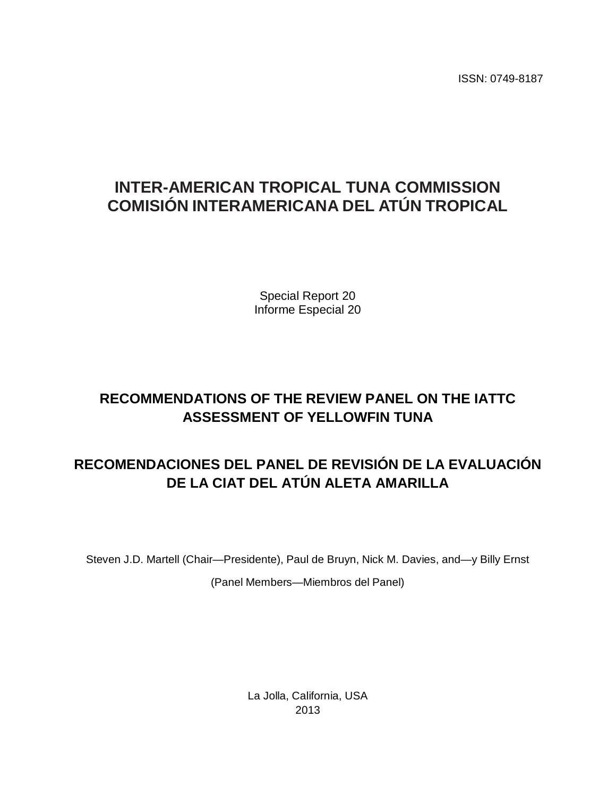ISSN: 0749-8187

## **INTER-AMERICAN TROPICAL TUNA COMMISSION COMISIÓN INTERAMERICANA DEL ATÚN TROPICAL**

Special Report 20 Informe Especial 20

## **RECOMMENDATIONS OF THE REVIEW PANEL ON THE IATTC ASSESSMENT OF YELLOWFIN TUNA**

## **RECOMENDACIONES DEL PANEL DE REVISIÓN DE LA EVALUACIÓN DE LA CIAT DEL ATÚN ALETA AMARILLA**

Steven J.D. Martell (Chair—Presidente), Paul de Bruyn, Nick M. Davies, and—y Billy Ernst

(Panel Members—Miembros del Panel)

La Jolla, California, USA 2013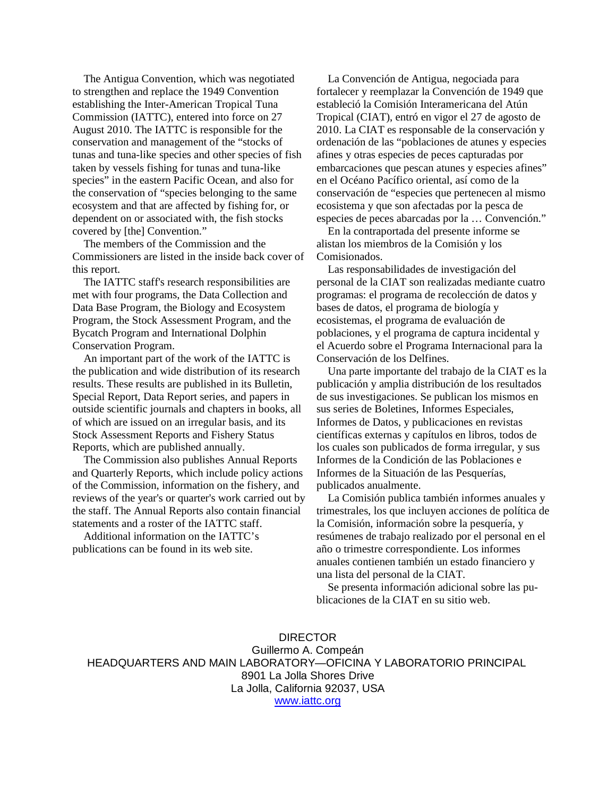The Antigua Convention, which was negotiated to strengthen and replace the 1949 Convention establishing the Inter-American Tropical Tuna Commission (IATTC), entered into force on 27 August 2010. The IATTC is responsible for the conservation and management of the "stocks of tunas and tuna-like species and other species of fish taken by vessels fishing for tunas and tuna-like species" in the eastern Pacific Ocean, and also for the conservation of "species belonging to the same ecosystem and that are affected by fishing for, or dependent on or associated with, the fish stocks covered by [the] Convention."

 The members of the Commission and the Commissioners are listed in the inside back cover of this report.

 The IATTC staff's research responsibilities are met with four programs, the Data Collection and Data Base Program, the Biology and Ecosystem Program, the Stock Assessment Program, and the Bycatch Program and International Dolphin Conservation Program.

 An important part of the work of the IATTC is the publication and wide distribution of its research results. These results are published in its Bulletin, Special Report, Data Report series, and papers in outside scientific journals and chapters in books, all of which are issued on an irregular basis, and its Stock Assessment Reports and Fishery Status Reports, which are published annually.

 The Commission also publishes Annual Reports and Quarterly Reports, which include policy actions of the Commission, information on the fishery, and reviews of the year's or quarter's work carried out by the staff. The Annual Reports also contain financial statements and a roster of the IATTC staff.

 Additional information on the IATTC's publications can be found in its web site.

 La Convención de Antigua, negociada para fortalecer y reemplazar la Convención de 1949 que estableció la Comisión Interamericana del Atún Tropical (CIAT), entró en vigor el 27 de agosto de 2010. La CIAT es responsable de la conservación y ordenación de las "poblaciones de atunes y especies afines y otras especies de peces capturadas por embarcaciones que pescan atunes y especies afines" en el Océano Pacífico oriental, así como de la conservación de "especies que pertenecen al mismo ecosistema y que son afectadas por la pesca de especies de peces abarcadas por la … Convención."

 En la contraportada del presente informe se alistan los miembros de la Comisión y los Comisionados.

 Las responsabilidades de investigación del personal de la CIAT son realizadas mediante cuatro programas: el programa de recolección de datos y bases de datos, el programa de biología y ecosistemas, el programa de evaluación de poblaciones, y el programa de captura incidental y el Acuerdo sobre el Programa Internacional para la Conservación de los Delfines.

 Una parte importante del trabajo de la CIAT es la publicación y amplia distribución de los resultados de sus investigaciones. Se publican los mismos en sus series de Boletines, Informes Especiales, Informes de Datos, y publicaciones en revistas científicas externas y capítulos en libros, todos de los cuales son publicados de forma irregular, y sus Informes de la Condición de las Poblaciones e Informes de la Situación de las Pesquerías, publicados anualmente.

 La Comisión publica también informes anuales y trimestrales, los que incluyen acciones de política de la Comisión, información sobre la pesquería, y resúmenes de trabajo realizado por el personal en el año o trimestre correspondiente. Los informes anuales contienen también un estado financiero y una lista del personal de la CIAT.

 Se presenta información adicional sobre las publicaciones de la CIAT en su sitio web.

DIRECTOR Guillermo A. Compeán HEADQUARTERS AND MAIN LABORATORY—OFICINA Y LABORATORIO PRINCIPAL 8901 La Jolla Shores Drive La Jolla, California 92037, USA [www.iattc.org](http://www.iattc.org/)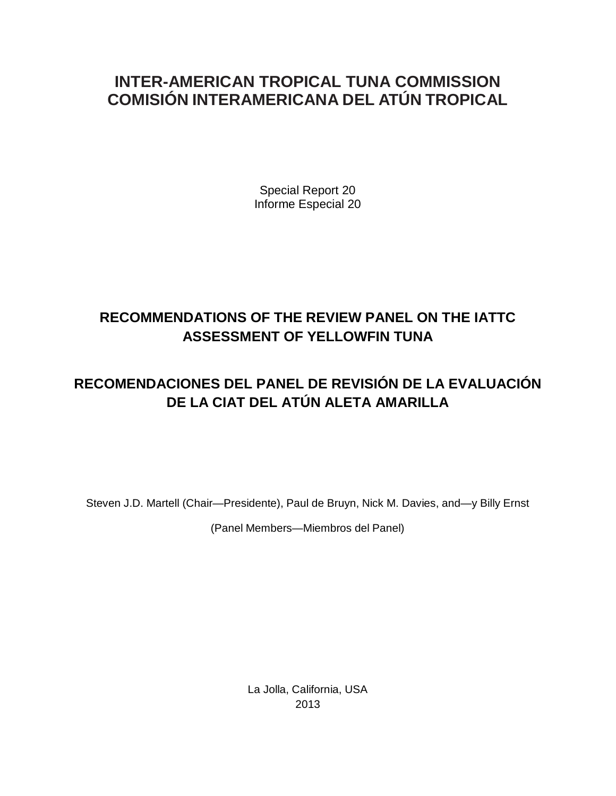## **INTER-AMERICAN TROPICAL TUNA COMMISSION COMISIÓN INTERAMERICANA DEL ATÚN TROPICAL**

Special Report 20 Informe Especial 20

## **RECOMMENDATIONS OF THE REVIEW PANEL ON THE IATTC ASSESSMENT OF YELLOWFIN TUNA**

## **RECOMENDACIONES DEL PANEL DE REVISIÓN DE LA EVALUACIÓN DE LA CIAT DEL ATÚN ALETA AMARILLA**

Steven J.D. Martell (Chair—Presidente), Paul de Bruyn, Nick M. Davies, and—y Billy Ernst

(Panel Members—Miembros del Panel)

La Jolla, California, USA 2013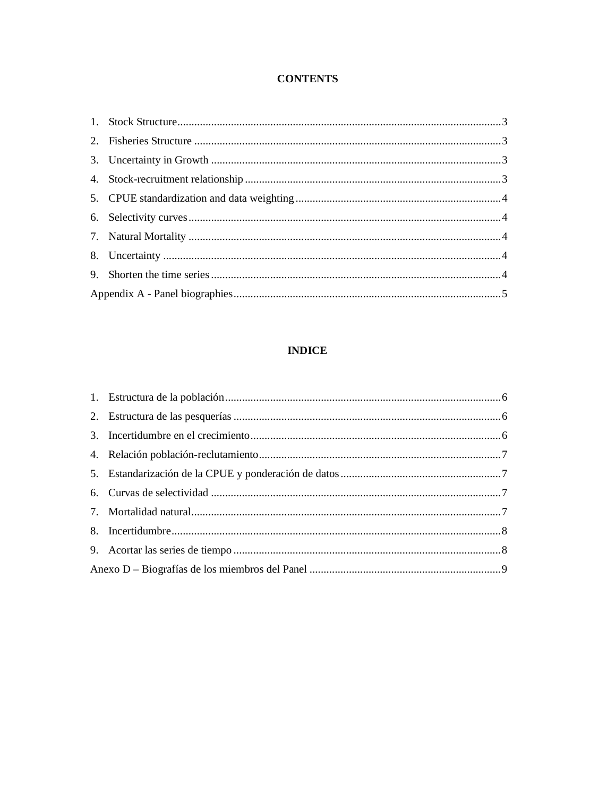### **CONTENTS**

## **INDICE**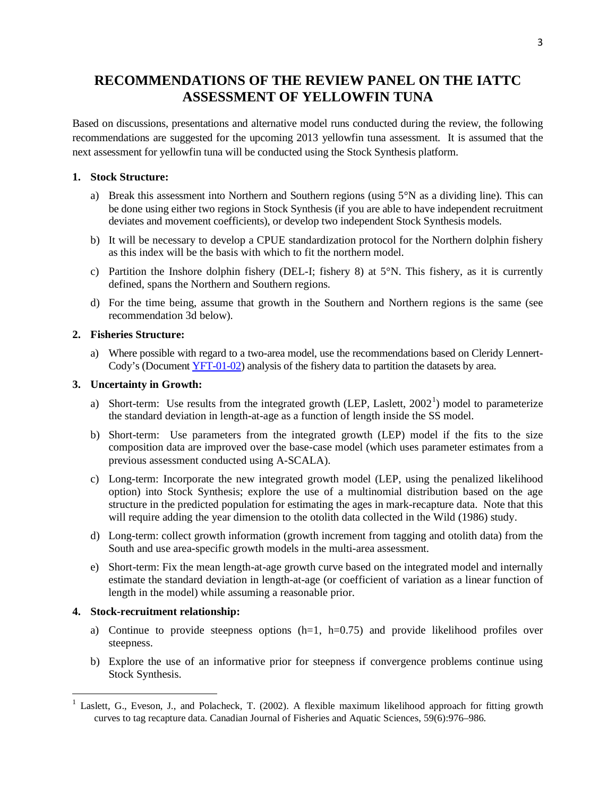## <span id="page-4-0"></span>**RECOMMENDATIONS OF THE REVIEW PANEL ON THE IATTC ASSESSMENT OF YELLOWFIN TUNA**

Based on discussions, presentations and alternative model runs conducted during the review, the following recommendations are suggested for the upcoming 2013 yellowfin tuna assessment. It is assumed that the next assessment for yellowfin tuna will be conducted using the Stock Synthesis platform.

### **1. Stock Structure:**

- a) Break this assessment into Northern and Southern regions (using 5°N as a dividing line). This can be done using either two regions in Stock Synthesis (if you are able to have independent recruitment deviates and movement coefficients), or develop two independent Stock Synthesis models.
- b) It will be necessary to develop a CPUE standardization protocol for the Northern dolphin fishery as this index will be the basis with which to fit the northern model.
- c) Partition the Inshore dolphin fishery (DEL-I; fishery 8) at 5°N. This fishery, as it is currently defined, spans the Northern and Southern regions.
- d) For the time being, assume that growth in the Southern and Northern regions is the same (see recommendation 3d below).

### **2. Fisheries Structure:**

a) Where possible with regard to a two-area model, use the recommendations based on Cleridy Lennert-Cody's (Document [YFT-01-02\)](http://www.iattc.org/Meetings/Meetings2012/Oct/PDFs/YFT-Meeting/YFT-01-02-Large-scale-patterns-yellowfin-dolphin-sets.pdf) analysis of the fishery data to partition the datasets by area.

### **3. Uncertainty in Growth:**

- a) Short-term: Use results from the integrated growth (LEP, Laslett,  $2002<sup>1</sup>$  $2002<sup>1</sup>$  $2002<sup>1</sup>$ ) model to parameterize the standard deviation in length-at-age as a function of length inside the SS model.
- b) Short-term: Use parameters from the integrated growth (LEP) model if the fits to the size composition data are improved over the base-case model (which uses parameter estimates from a previous assessment conducted using A-SCALA).
- c) Long-term: Incorporate the new integrated growth model (LEP, using the penalized likelihood option) into Stock Synthesis; explore the use of a multinomial distribution based on the age structure in the predicted population for estimating the ages in mark-recapture data. Note that this will require adding the year dimension to the otolith data collected in the Wild (1986) study.
- d) Long-term: collect growth information (growth increment from tagging and otolith data) from the South and use area-specific growth models in the multi-area assessment.
- e) Short-term: Fix the mean length-at-age growth curve based on the integrated model and internally estimate the standard deviation in length-at-age (or coefficient of variation as a linear function of length in the model) while assuming a reasonable prior.

### **4. Stock-recruitment relationship:**

- a) Continue to provide steepness options  $(h=1, h=0.75)$  and provide likelihood profiles over steepness.
- b) Explore the use of an informative prior for steepness if convergence problems continue using Stock Synthesis.

<span id="page-4-1"></span>Laslett, G., Eveson, J., and Polacheck, T. (2002). A flexible maximum likelihood approach for fitting growth curves to tag recapture data. Canadian Journal of Fisheries and Aquatic Sciences, 59(6):976–986.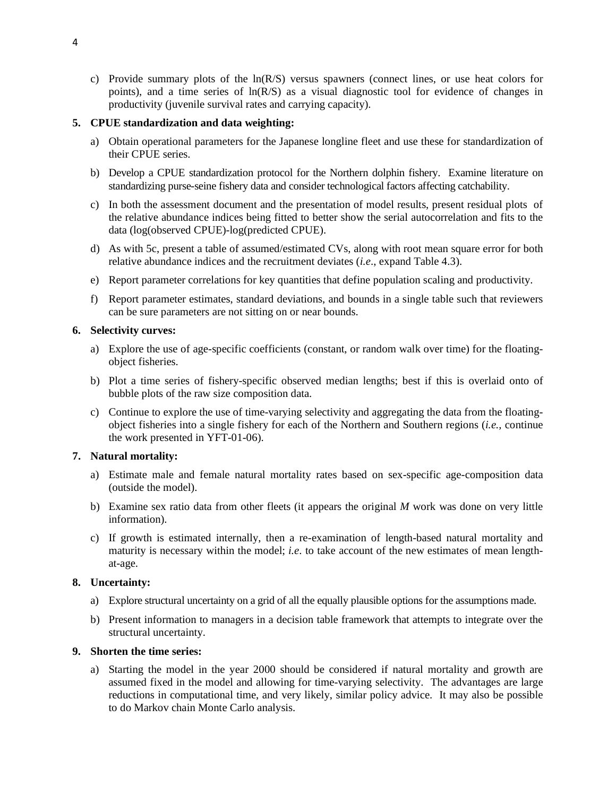<span id="page-5-0"></span>c) Provide summary plots of the ln(R/S) versus spawners (connect lines, or use heat colors for points), and a time series of ln(R/S) as a visual diagnostic tool for evidence of changes in productivity (juvenile survival rates and carrying capacity).

### **5. CPUE standardization and data weighting:**

- a) Obtain operational parameters for the Japanese longline fleet and use these for standardization of their CPUE series.
- b) Develop a CPUE standardization protocol for the Northern dolphin fishery. Examine literature on standardizing purse-seine fishery data and consider technological factors affecting catchability.
- c) In both the assessment document and the presentation of model results, present residual plots of the relative abundance indices being fitted to better show the serial autocorrelation and fits to the data (log(observed CPUE)-log(predicted CPUE).
- d) As with 5c, present a table of assumed/estimated CVs, along with root mean square error for both relative abundance indices and the recruitment deviates (*i.e*., expand Table 4.3).
- e) Report parameter correlations for key quantities that define population scaling and productivity.
- f) Report parameter estimates, standard deviations, and bounds in a single table such that reviewers can be sure parameters are not sitting on or near bounds.

#### **6. Selectivity curves:**

- a) Explore the use of age-specific coefficients (constant, or random walk over time) for the floatingobject fisheries.
- b) Plot a time series of fishery-specific observed median lengths; best if this is overlaid onto of bubble plots of the raw size composition data.
- c) Continue to explore the use of time-varying selectivity and aggregating the data from the floatingobject fisheries into a single fishery for each of the Northern and Southern regions (*i.e.,* continue the work presented in YFT-01-06).

### **7. Natural mortality:**

- a) Estimate male and female natural mortality rates based on sex-specific age-composition data (outside the model).
- b) Examine sex ratio data from other fleets (it appears the original *M* work was done on very little information).
- c) If growth is estimated internally, then a re-examination of length-based natural mortality and maturity is necessary within the model; *i.e*. to take account of the new estimates of mean lengthat-age.

### **8. Uncertainty:**

- a) Explore structural uncertainty on a grid of all the equally plausible options for the assumptions made.
- b) Present information to managers in a decision table framework that attempts to integrate over the structural uncertainty.

#### **9. Shorten the time series:**

a) Starting the model in the year 2000 should be considered if natural mortality and growth are assumed fixed in the model and allowing for time-varying selectivity. The advantages are large reductions in computational time, and very likely, similar policy advice. It may also be possible to do Markov chain Monte Carlo analysis.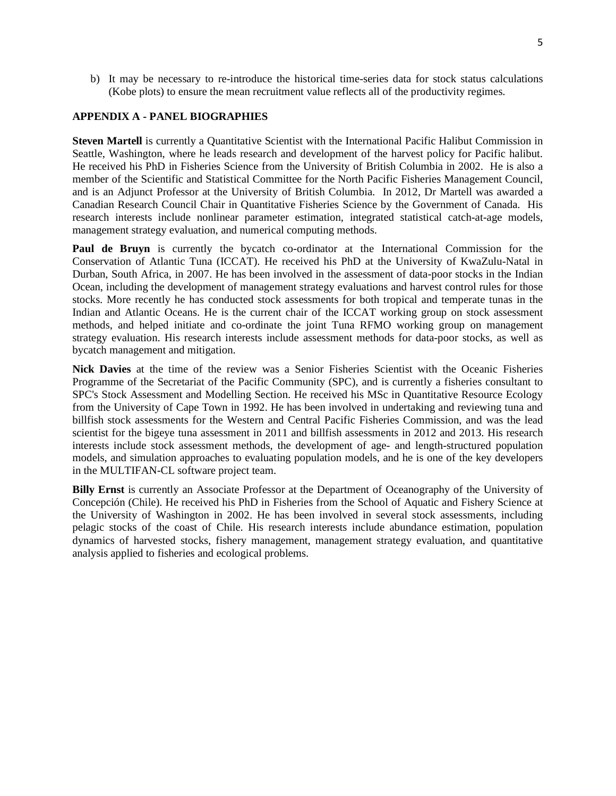<span id="page-6-0"></span>b) It may be necessary to re-introduce the historical time-series data for stock status calculations (Kobe plots) to ensure the mean recruitment value reflects all of the productivity regimes.

### **APPENDIX A - PANEL BIOGRAPHIES**

**Steven Martell** is currently a Quantitative Scientist with the International Pacific Halibut Commission in Seattle, Washington, where he leads research and development of the harvest policy for Pacific halibut. He received his PhD in Fisheries Science from the University of British Columbia in 2002. He is also a member of the Scientific and Statistical Committee for the North Pacific Fisheries Management Council, and is an Adjunct Professor at the University of British Columbia. In 2012, Dr Martell was awarded a Canadian Research Council Chair in Quantitative Fisheries Science by the Government of Canada. His research interests include nonlinear parameter estimation, integrated statistical catch-at-age models, management strategy evaluation, and numerical computing methods.

**Paul de Bruyn** is currently the bycatch co-ordinator at the International Commission for the Conservation of Atlantic Tuna (ICCAT). He received his PhD at the University of KwaZulu-Natal in Durban, South Africa, in 2007. He has been involved in the assessment of data-poor stocks in the Indian Ocean, including the development of management strategy evaluations and harvest control rules for those stocks. More recently he has conducted stock assessments for both tropical and temperate tunas in the Indian and Atlantic Oceans. He is the current chair of the ICCAT working group on stock assessment methods, and helped initiate and co-ordinate the joint Tuna RFMO working group on management strategy evaluation. His research interests include assessment methods for data-poor stocks, as well as bycatch management and mitigation.

**Nick Davies** at the time of the review was a Senior Fisheries Scientist with the Oceanic Fisheries Programme of the Secretariat of the Pacific Community (SPC), and is currently a fisheries consultant to SPC's Stock Assessment and Modelling Section. He received his MSc in Quantitative Resource Ecology from the University of Cape Town in 1992. He has been involved in undertaking and reviewing tuna and billfish stock assessments for the Western and Central Pacific Fisheries Commission, and was the lead scientist for the bigeye tuna assessment in 2011 and billfish assessments in 2012 and 2013. His research interests include stock assessment methods, the development of age- and length-structured population models, and simulation approaches to evaluating population models, and he is one of the key developers in the MULTIFAN-CL software project team.

**Billy Ernst** is currently an Associate Professor at the Department of Oceanography of the University of Concepción (Chile). He received his PhD in Fisheries from the School of Aquatic and Fishery Science at the University of Washington in 2002. He has been involved in several stock assessments, including pelagic stocks of the coast of Chile. His research interests include abundance estimation, population dynamics of harvested stocks, fishery management, management strategy evaluation, and quantitative analysis applied to fisheries and ecological problems.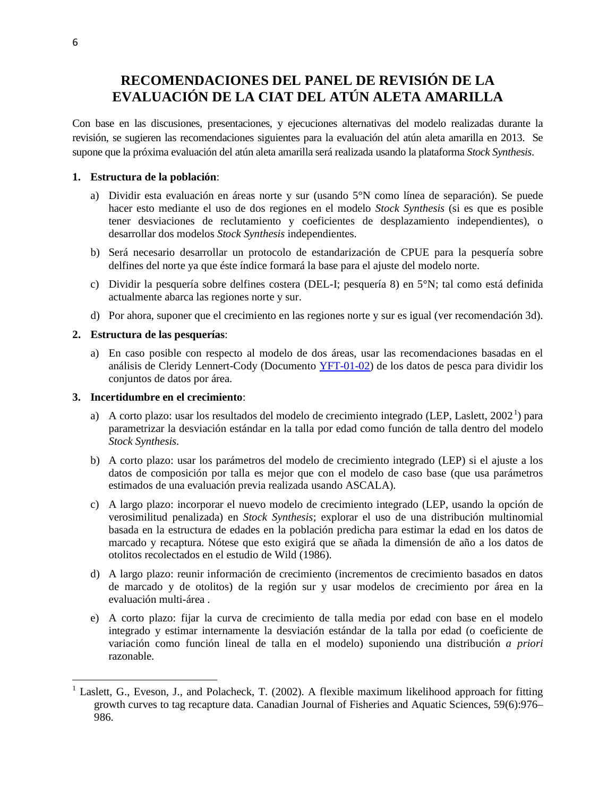## <span id="page-7-0"></span>**RECOMENDACIONES DEL PANEL DE REVISIÓN DE LA EVALUACIÓN DE LA CIAT DEL ATÚN ALETA AMARILLA**

Con base en las discusiones, presentaciones, y ejecuciones alternativas del modelo realizadas durante la revisión, se sugieren las recomendaciones siguientes para la evaluación del atún aleta amarilla en 2013. Se supone que la próxima evaluación del atún aleta amarilla será realizada usando la plataforma *Stock Synthesis*.

### **1. Estructura de la población**:

- a) Dividir esta evaluación en áreas norte y sur (usando 5°N como línea de separación). Se puede hacer esto mediante el uso de dos regiones en el modelo *Stock Synthesis* (si es que es posible tener desviaciones de reclutamiento y coeficientes de desplazamiento independientes), o desarrollar dos modelos *Stock Synthesis* independientes.
- b) Será necesario desarrollar un protocolo de estandarización de CPUE para la pesquería sobre delfines del norte ya que éste índice formará la base para el ajuste del modelo norte.
- c) Dividir la pesquería sobre delfines costera (DEL-I; pesquería 8) en 5°N; tal como está definida actualmente abarca las regiones norte y sur.
- d) Por ahora, suponer que el crecimiento en las regiones norte y sur es igual (ver recomendación 3d).

#### **2. Estructura de las pesquerías**:

a) En caso posible con respecto al modelo de dos áreas, usar las recomendaciones basadas en el análisis de Cleridy Lennert-Cody (Documento [YFT-01-02\)](http://www.iattc.org/Meetings/Meetings2012/Oct/PDFs/YFT-Meeting/YFT-01-02-Large-scale-patterns-yellowfin-dolphin-sets.pdf) de los datos de pesca para dividir los conjuntos de datos por área.

#### **3. Incertidumbre en el crecimiento**:

- a) A corto plazo: usar los resultados del modelo de crecimiento integrado (LEP, Laslett, [2](#page-7-1)002<sup>1</sup>) para parametrizar la desviación estándar en la talla por edad como función de talla dentro del modelo *Stock Synthesis*.
- b) A corto plazo: usar los parámetros del modelo de crecimiento integrado (LEP) si el ajuste a los datos de composición por talla es mejor que con el modelo de caso base (que usa parámetros estimados de una evaluación previa realizada usando ASCALA).
- c) A largo plazo: incorporar el nuevo modelo de crecimiento integrado (LEP, usando la opción de verosimilitud penalizada) en *Stock Synthesis*; explorar el uso de una distribución multinomial basada en la estructura de edades en la población predicha para estimar la edad en los datos de marcado y recaptura. Nótese que esto exigirá que se añada la dimensión de año a los datos de otolitos recolectados en el estudio de Wild (1986).
- d) A largo plazo: reunir información de crecimiento (incrementos de crecimiento basados en datos de marcado y de otolitos) de la región sur y usar modelos de crecimiento por área en la evaluación multi-área .
- e) A corto plazo: fijar la curva de crecimiento de talla media por edad con base en el modelo integrado y estimar internamente la desviación estándar de la talla por edad (o coeficiente de variación como función lineal de talla en el modelo) suponiendo una distribución *a priori* razonable.

<span id="page-7-1"></span><sup>&</sup>lt;sup>1</sup> Laslett, G., Eveson, J., and Polacheck, T. (2002). A flexible maximum likelihood approach for fitting growth curves to tag recapture data. Canadian Journal of Fisheries and Aquatic Sciences, 59(6):976– 986.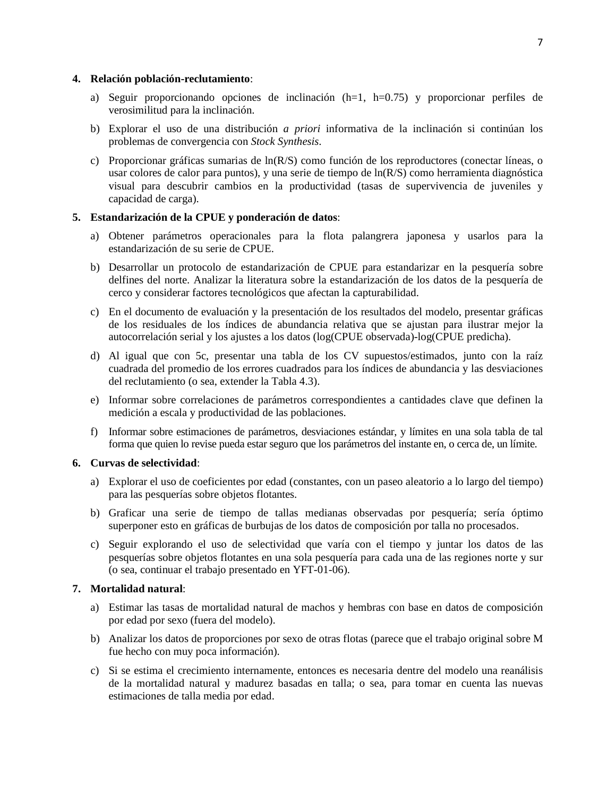#### <span id="page-8-0"></span>**4. Relación población-reclutamiento**:

- a) Seguir proporcionando opciones de inclinación  $(h=1, h=0.75)$  y proporcionar perfiles de verosimilitud para la inclinación.
- b) Explorar el uso de una distribución *a priori* informativa de la inclinación si continúan los problemas de convergencia con *Stock Synthesis*.
- c) Proporcionar gráficas sumarias de ln(R/S) como función de los reproductores (conectar líneas, o usar colores de calor para puntos), y una serie de tiempo de ln(R/S) como herramienta diagnóstica visual para descubrir cambios en la productividad (tasas de supervivencia de juveniles y capacidad de carga).

#### **5. Estandarización de la CPUE y ponderación de datos**:

- a) Obtener parámetros operacionales para la flota palangrera japonesa y usarlos para la estandarización de su serie de CPUE.
- b) Desarrollar un protocolo de estandarización de CPUE para estandarizar en la pesquería sobre delfines del norte. Analizar la literatura sobre la estandarización de los datos de la pesquería de cerco y considerar factores tecnológicos que afectan la capturabilidad.
- c) En el documento de evaluación y la presentación de los resultados del modelo, presentar gráficas de los residuales de los índices de abundancia relativa que se ajustan para ilustrar mejor la autocorrelación serial y los ajustes a los datos (log(CPUE observada)-log(CPUE predicha).
- d) Al igual que con 5c, presentar una tabla de los CV supuestos/estimados, junto con la raíz cuadrada del promedio de los errores cuadrados para los índices de abundancia y las desviaciones del reclutamiento (o sea, extender la Tabla 4.3).
- e) Informar sobre correlaciones de parámetros correspondientes a cantidades clave que definen la medición a escala y productividad de las poblaciones.
- f) Informar sobre estimaciones de parámetros, desviaciones estándar, y límites en una sola tabla de tal forma que quien lo revise pueda estar seguro que los parámetros del instante en, o cerca de, un límite.

#### **6. Curvas de selectividad**:

- a) Explorar el uso de coeficientes por edad (constantes, con un paseo aleatorio a lo largo del tiempo) para las pesquerías sobre objetos flotantes.
- b) Graficar una serie de tiempo de tallas medianas observadas por pesquería; sería óptimo superponer esto en gráficas de burbujas de los datos de composición por talla no procesados.
- c) Seguir explorando el uso de selectividad que varía con el tiempo y juntar los datos de las pesquerías sobre objetos flotantes en una sola pesquería para cada una de las regiones norte y sur (o sea, continuar el trabajo presentado en YFT-01-06).

### **7. Mortalidad natural**:

- a) Estimar las tasas de mortalidad natural de machos y hembras con base en datos de composición por edad por sexo (fuera del modelo).
- b) Analizar los datos de proporciones por sexo de otras flotas (parece que el trabajo original sobre M fue hecho con muy poca información).
- c) Si se estima el crecimiento internamente, entonces es necesaria dentre del modelo una reanálisis de la mortalidad natural y madurez basadas en talla; o sea, para tomar en cuenta las nuevas estimaciones de talla media por edad.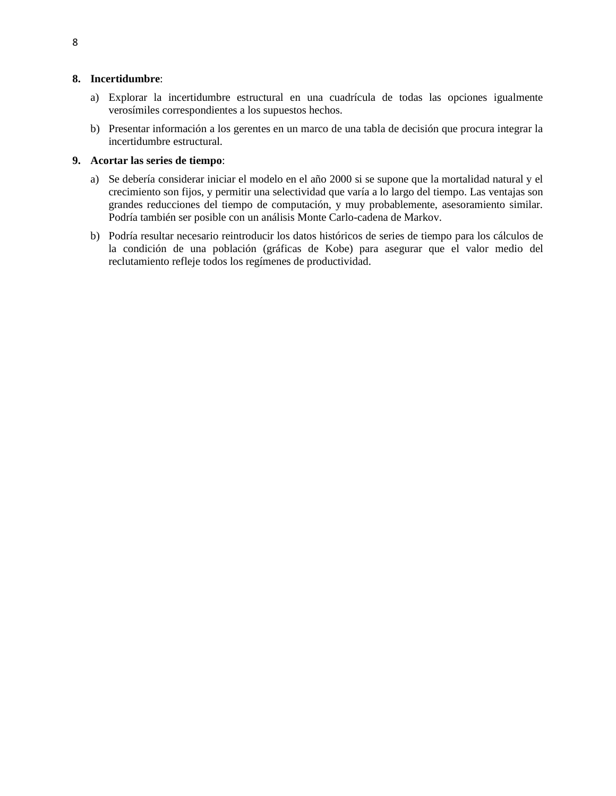#### <span id="page-9-0"></span>**8. Incertidumbre**:

- a) Explorar la incertidumbre estructural en una cuadrícula de todas las opciones igualmente verosímiles correspondientes a los supuestos hechos.
- b) Presentar información a los gerentes en un marco de una tabla de decisión que procura integrar la incertidumbre estructural.

#### **9. Acortar las series de tiempo**:

- a) Se debería considerar iniciar el modelo en el año 2000 si se supone que la mortalidad natural y el crecimiento son fijos, y permitir una selectividad que varía a lo largo del tiempo. Las ventajas son grandes reducciones del tiempo de computación, y muy probablemente, asesoramiento similar. Podría también ser posible con un análisis Monte Carlo-cadena de Markov.
- b) Podría resultar necesario reintroducir los datos históricos de series de tiempo para los cálculos de la condición de una población (gráficas de Kobe) para asegurar que el valor medio del reclutamiento refleje todos los regímenes de productividad.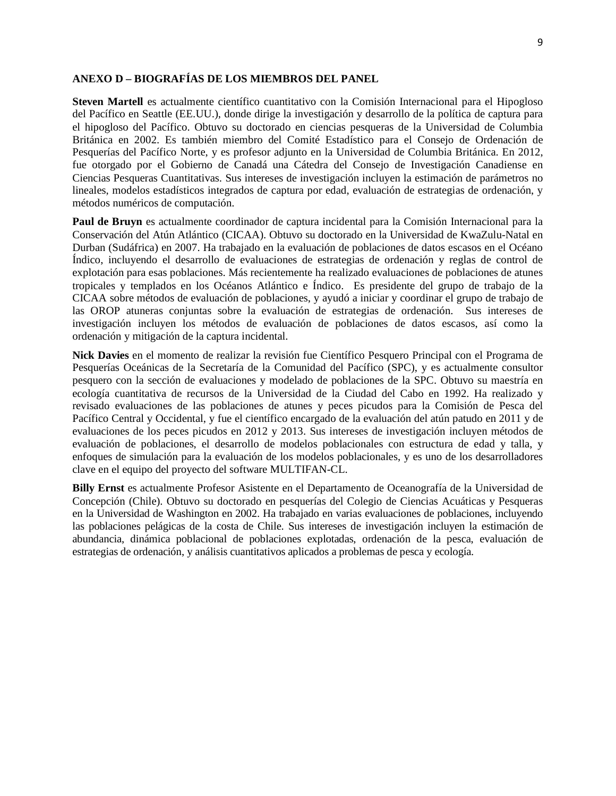### <span id="page-10-0"></span>**ANEXO D – BIOGRAFÍAS DE LOS MIEMBROS DEL PANEL**

**Steven Martell** es actualmente científico cuantitativo con la Comisión Internacional para el Hipogloso del Pacífico en Seattle (EE.UU.), donde dirige la investigación y desarrollo de la política de captura para el hipogloso del Pacífico. Obtuvo su doctorado en ciencias pesqueras de la Universidad de Columbia Británica en 2002. Es también miembro del Comité Estadístico para el Consejo de Ordenación de Pesquerías del Pacífico Norte, y es profesor adjunto en la Universidad de Columbia Británica. En 2012, fue otorgado por el Gobierno de Canadá una Cátedra del Consejo de Investigación Canadiense en Ciencias Pesqueras Cuantitativas. Sus intereses de investigación incluyen la estimación de parámetros no lineales, modelos estadísticos integrados de captura por edad, evaluación de estrategias de ordenación, y métodos numéricos de computación.

**Paul de Bruyn** es actualmente coordinador de captura incidental para la Comisión Internacional para la Conservación del Atún Atlántico (CICAA). Obtuvo su doctorado en la Universidad de KwaZulu-Natal en Durban (Sudáfrica) en 2007. Ha trabajado en la evaluación de poblaciones de datos escasos en el Océano Índico, incluyendo el desarrollo de evaluaciones de estrategias de ordenación y reglas de control de explotación para esas poblaciones. Más recientemente ha realizado evaluaciones de poblaciones de atunes tropicales y templados en los Océanos Atlántico e Índico. Es presidente del grupo de trabajo de la CICAA sobre métodos de evaluación de poblaciones, y ayudó a iniciar y coordinar el grupo de trabajo de las OROP atuneras conjuntas sobre la evaluación de estrategias de ordenación. Sus intereses de investigación incluyen los métodos de evaluación de poblaciones de datos escasos, así como la ordenación y mitigación de la captura incidental.

**Nick Davies** en el momento de realizar la revisión fue Científico Pesquero Principal con el Programa de Pesquerías Oceánicas de la Secretaría de la Comunidad del Pacífico (SPC), y es actualmente consultor pesquero con la sección de evaluaciones y modelado de poblaciones de la SPC. Obtuvo su maestría en ecología cuantitativa de recursos de la Universidad de la Ciudad del Cabo en 1992. Ha realizado y revisado evaluaciones de las poblaciones de atunes y peces picudos para la Comisión de Pesca del Pacífico Central y Occidental, y fue el científico encargado de la evaluación del atún patudo en 2011 y de evaluaciones de los peces picudos en 2012 y 2013. Sus intereses de investigación incluyen métodos de evaluación de poblaciones, el desarrollo de modelos poblacionales con estructura de edad y talla, y enfoques de simulación para la evaluación de los modelos poblacionales, y es uno de los desarrolladores clave en el equipo del proyecto del software MULTIFAN-CL.

**Billy Ernst** es actualmente Profesor Asistente en el Departamento de Oceanografía de la Universidad de Concepción (Chile). Obtuvo su doctorado en pesquerías del Colegio de Ciencias Acuáticas y Pesqueras en la Universidad de Washington en 2002. Ha trabajado en varias evaluaciones de poblaciones, incluyendo las poblaciones pelágicas de la costa de Chile. Sus intereses de investigación incluyen la estimación de abundancia, dinámica poblacional de poblaciones explotadas, ordenación de la pesca, evaluación de estrategias de ordenación, y análisis cuantitativos aplicados a problemas de pesca y ecología.